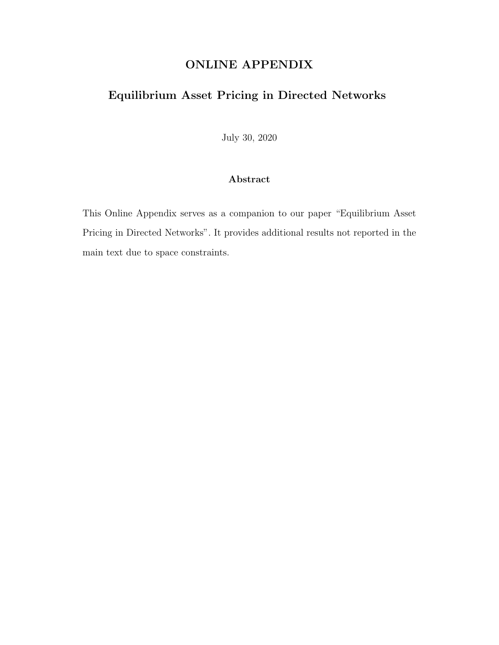## ONLINE APPENDIX

## Equilibrium Asset Pricing in Directed Networks

July 30, 2020

## Abstract

This Online Appendix serves as a companion to our paper "Equilibrium Asset Pricing in Directed Networks". It provides additional results not reported in the main text due to space constraints.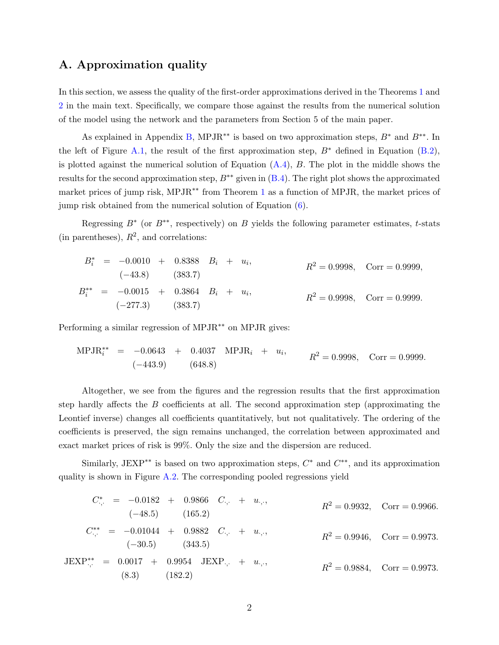## A. Approximation quality

In this section, we assess the quality of the first-order approximations derived in the Theorems [1](#page--1-0) and [2](#page--1-1) in the main text. Specifically, we compare those against the results from the numerical solution of the model using the network and the parameters from Section 5 of the main paper.

As explained in Appendix [B,](#page--1-2) MPJR<sup>∗∗</sup> is based on two approximation steps,  $B^*$  and  $B^{**}$ . In the left of Figure [A.1,](#page-3-0) the result of the first approximation step,  $B^*$  defined in Equation [\(B.2\)](#page--1-3), is plotted against the numerical solution of Equation  $(A.4)$ ,  $B$ . The plot in the middle shows the results for the second approximation step,  $B^{**}$  given in  $(B.4)$ . The right plot shows the approximated market prices of jump risk, MPJR∗∗ from Theorem [1](#page--1-0) as a function of MPJR, the market prices of jump risk obtained from the numerical solution of Equation [\(6\)](#page--1-6).

Regressing  $B^*$  (or  $B^{**}$ , respectively) on B yields the following parameter estimates, t-stats (in parentheses),  $R^2$ , and correlations:

$$
B_i^* = -0.0010 + 0.8388 B_i + u_i,
$$
  
\n
$$
R^2 = 0.9998, \text{Corr} = 0.9999,
$$
  
\n
$$
B_i^{**} = -0.0015 + 0.3864 B_i + u_i,
$$
  
\n
$$
R^2 = 0.9998, \text{Corr} = 0.9999,
$$
  
\n
$$
R^2 = 0.9998, \text{Corr} = 0.9999.
$$
  
\n
$$
R^2 = 0.9998, \text{Corr} = 0.9999.
$$

Performing a similar regression of MPJR<sup>∗∗</sup> on MPJR gives:

$$
MPJR_i^{**} = -0.0643 + 0.4037 MPJR_i + u_i, \t R^2 = 0.9998, Corr = 0.9999.
$$
  
(-443.9) (648.8)

Altogether, we see from the figures and the regression results that the first approximation step hardly affects the  $B$  coefficients at all. The second approximation step (approximating the Leontief inverse) changes all coefficients quantitatively, but not qualitatively. The ordering of the coefficients is preserved, the sign remains unchanged, the correlation between approximated and exact market prices of risk is 99%. Only the size and the dispersion are reduced.

Similarly, JEXP<sup>\*\*</sup> is based on two approximation steps,  $C^*$  and  $C^{**}$ , and its approximation quality is shown in Figure [A.2.](#page-4-0) The corresponding pooled regressions yield

$$
C_{\cdot,\cdot}^{*} = -0.0182 + 0.9866 \quad C_{\cdot,\cdot} + u_{\cdot,\cdot},
$$
  
\n
$$
R^{2} = 0.9932, \quad \text{Corr} = 0.9966.
$$
  
\n
$$
C_{\cdot,\cdot}^{**} = -0.01044 + 0.9882 \quad C_{\cdot,\cdot} + u_{\cdot,\cdot},
$$
  
\n
$$
R^{2} = 0.9946, \quad \text{Corr} = 0.9973.
$$
  
\n
$$
R^{2} = 0.9946, \quad \text{Corr} = 0.9973.
$$
  
\n
$$
R^{2} = 0.9946, \quad \text{Corr} = 0.9973.
$$
  
\n
$$
R^{2} = 0.9946, \quad \text{Corr} = 0.9973.
$$
  
\n
$$
R^{2} = 0.9884, \quad \text{Corr} = 0.9973.
$$
  
\n(8.3) (182.2)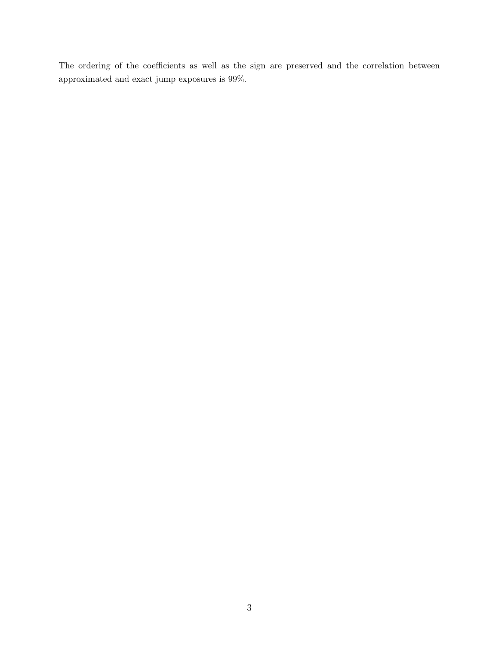The ordering of the coefficients as well as the sign are preserved and the correlation between approximated and exact jump exposures is 99%.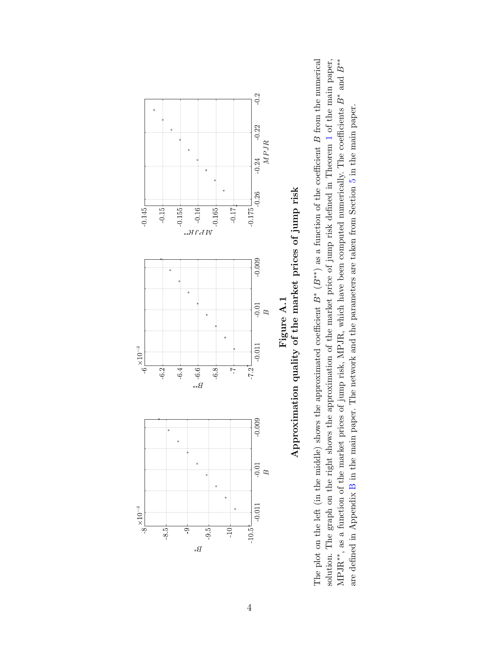<span id="page-3-0"></span>

The plot on the left (in the middle) shows the approximated coefficient  $B^*$  ( $B^{**}$ ) as a function of the coefficient  $B$  from the numerical solution. The graph on the right shows the approximation of the market price of jump risk defined in Theorem 1 of the main paper, MPJR<sup>\*\*</sup>, as a function of the market prices of jump risk, MPJR, which have been computed numerically. The coefficients  $B^*$  and  $B^{**}$ The plot on the left (in the middle) shows the approximated coefficient  $B^*$  ( $B^{**}$ ) as a function of the coefficient B from the numerical  $\Gamma$ MPJR<sup>∗∗</sup>, as a function of the market prices of jump risk, MPJR, which have been computed numerically. The coefficients B<sup>∗</sup> and B<sup>∗∗</sup>\* solution. The graph on the right shows the approximation of the market price of jump risk defined in Theorem [1](#page--1-0) of the main paper, are defined in Appendix B in the main paper. The network and the parameters are taken from Section 5 in the main paper. are defined in Appendix [B](#page--1-2) in the main paper. The network and the parameters are taken from Section [5](#page--1-7) in the main paper.